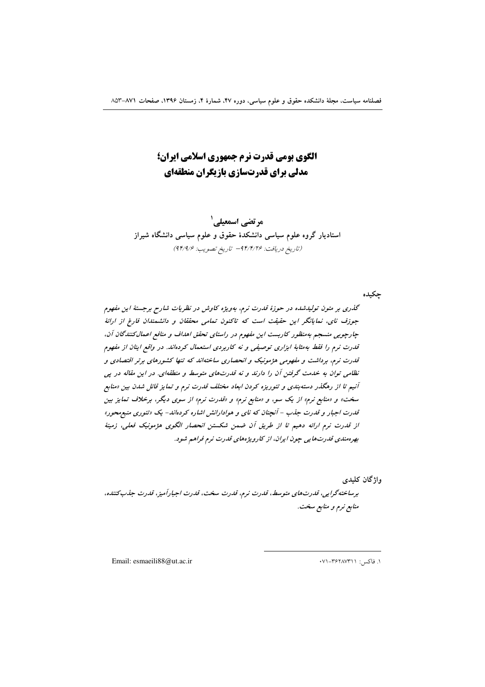الگوی بومی قدرت نرم جمهوری اسلامی ایران؛ مدلی برای قدرتسازی بازیگران منطقهای

مرتضي اسمعيلي ` استادیار گروه علوم سیاسی دانشکدهٔ حقوق و علوم سیاسی دانشگاه شیراز (تاريخ دريافت: ٩۴/٢/٢۶ - تاريخ تصويب: ٩٢/٩/٤)

جكيده

گذری بر متون تولیدشده در حوزهٔ قدرت نرم، بهویژه کاوش در نظریات شارح برجستهٔ این مفهوم جوزف نای، نمایانگر این حقیقت است که تاکنون تمامی محققان و دانشمندان فارغ از ارائهٔ چارچوبی منسجم بهمنظور کاربست این مفهوم در راستای تحقق اهداف و منافع اعمال کنندگان آن، قدرت نرم را فقط به شابهٔ ابزاری توصیفی و نه کاربردی استعمال کردهاند. در واقع اینان از مفهوم قدرت نرم، برداشت و مفهومی هژمونیک و انحصاری ساختهاند که تنها کشورهای برتر اقتصادی و نظامی توان به خدمت گرفتن آن را دارند و نه قدرتهای متوسط و منطقهای. در این مقاله در یی آنیم تا از رهگذر دسته بندی و تئوریزه کردن ابعاد مختلف قدرت نرم و تمایز قائل شدن بین «منابع سخت» و «منابع نرم» از یک سو، و «منابع نرم» و «قدرت نرم» از سوی دیگر، برخلاف تمایز بین قدرت اجبار و قدرت جذب - آنچنان که نای و هوادارانش اشاره کردهاند- یک «تئوری منبع محور» از قدرت نرم ارائه دهیم تا از طریق آن ضمن شکستن انحصار الگوی هژمونیک فعلی، زمینهٔ بهره مندی قدرتهایی چون ایران، از کارویژههای قدرت نرم فراهم شود.

وإژگان كليدى

برساختهگرایی، قدرتهای متوسط، قدرت نرم، قدرت سخت، قدرت اجبارآمیز، قدرت جذب کننده، منابع نرم و منابع سخت.

Email: esmaeili88@ut.ac.ir

١. فاكس: ٣۶٢٨٧٣١١-٧١٠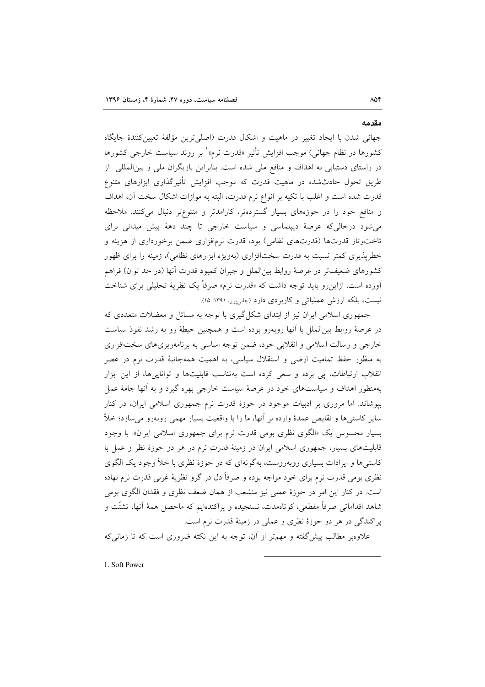جهاني شدن با ايجاد تغيير در ماهيت و اشكال قدرت (اصلي ترين مؤلفهٔ تعيين كنندهٔ جايگاه کشورها در نظام جهانی) موجب افزایش تأثیر «قدرت نرم»<sup>۱</sup> بر روند سیاست خارجی کشورها در راستای دستیابی به اهداف و منافع ملی شده است. بنابراین بازیگران ملی و بین|لمللی از طریق تحول حادثشده در ماهیت قدرت که موجب افزایش تأثیرگذاری ابزارهای متنوع قدرت شده است و اغلب با تکیه بر انواع نرم قدرت، البته به موازات اشکال سخت آن، اهداف و منافع خود را در حوزههای بسیار گستردهتر، کارامدتر و متنوعتر دنبال میکنند. ملاحظه می شود درحالی که عرصهٔ دیپلماسی و سیاست خارجی تا چند دههٔ پیش میدانی برای تاختوتاز قدرتها (قدرتهای نظامی) بود، قدرت نرمافزاری ضمن برخورداری از هزینه و خطریذیری کمتر نسبت به قدرت سختافزاری (بهویژه ابزارهای نظامی)، زمینه را برای ظهور كشورهاى ضعيفتر در عرصهٔ روابط بين|لملل و جبران كمبود قدرت آنها (در حد توان) فراهم آورده است. ازاین و باید توجه داشت که «قدرت نرم» صرفاً یک نظریهٔ تحلیلی برای شناخت نیست، بلکه ارزش عملیاتی و کاربردی دارد (جانیپور، ۱۳۹۱: ۱۵).

جمهوری اسلامی ایران نیز از ابتدای شکل گیری با توجه به مسائل و معضلات متعددی که در عرصهٔ روابط بینالملل با آنها روبهرو بوده است و همچنین حیطهٔ رو به رشد نفوذ سیاست خارجي و رسالت اسلامي و انقلابي خود، ضمن توجه اساسي به برنامهريزي هاي سختافزاري به منظور حفظ تمامیت ارضی و استقلال سیاسی، به اهمیت همهجانبهٔ قدرت نرم در عصر انقلاب ارتباطات، پی برده و سعی کرده است بهتناسب قابلیتها و تواناییها، از این ابزار بهمنظور اهداف و سیاستهای خود در عرصهٔ سیاست خارجی بهره گیرد و به آنها جامهٔ عمل بپوشاند. اما مروری بر ادبیات موجود در حوزهٔ قدرت نرم جمهوری اسلامی ایران، در کنار سایر کاستی ها و نقایص عمدهٔ وارده بر آنها، ما را با واقعیت بسیار مهمی روبهرو می سازد؛ خلأ بسیار محسوس یک «الگوی نظری بومی قدرت نرم برای جمهوری اسلامی ایران». با وجود قابلیتهای بسیار، جمهوری اسلامی ایران در زمینهٔ قدرت نرم در هر دو حوزهٔ نظر و عمل با کاستی ها و ایرادات بسیاری روبهروست، بهگونهای که در حوزهٔ نظری با خلأ وجود یک الگوی نظري بومي قدرت نرم براي خود مواجه بوده و صرفاً دل در گرو نظريهٔ غربي قدرت نرم نهاده است. در کنار این امر در حوزهٔ عملی نیز منشعب از همان ضعف نظری و فقدان الگوی بومی شاهد اقداماتی صرفاً مقطعی، کوتاهمدت، نسنجیده و پراکندهایم که ماحصل همهٔ آنها، تشتّت و یراکندگی در هر دو حوزهٔ نظری و عملی در زمینهٔ قدرت نرم است.

علاوهبر مطالب پیش گفته و مهمتر از آن، توجه به این نکته ضروری است که تا زمانی که

1. Soft Power

مقدمه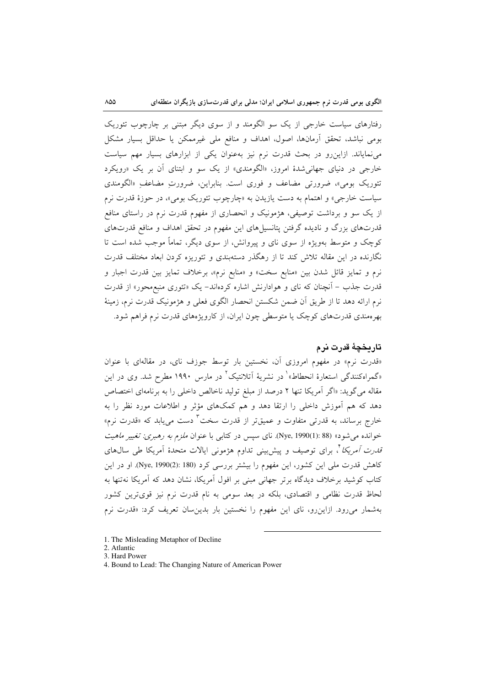رفتارهای سیاست خارجی از یک سو الگومند و از سوی دیگر مبتنی بر چارچوب تئوریک بومي نباشد، تحقق آرمانها، اصول، اهداف و منافع ملي غيرممكن يا حداقل بسيار مشكل می نمایاند. ازاین رو در بحث قدرت نرم نیز به عنوان یکی از ابزارهای بسیار مهم سیاست خارجي در دنياي جهاني شدهٔ امروز، «الگومندي» از يک سو و ابتناي آن بر يک «رويکرد تئوریک بومی»، ضرورتی مضاعف و فوری است. بنابراین، ضرورتِ مضاعفِ «الگومندی سیاست خارجی» و اهتمام به دست یازیدن به «چارچوب تئوریک بومی»، در حوزهٔ قدرت نرم از یک سو و برداشت توصیفی، هژمونیک و انحصاری از مفهوم قدرت نرم در راستای منافع قدرتهای بزرگ و نادیده گرفتن پتانسیلهای این مفهوم در تحقق اهداف و منافع قدرتهای کوچک و متوسط بهویژه از سوی نای و پیروانش، از سوی دیگر، تماماً موجب شده است تا .<br>نگارنده در این مقاله تلاش کند تا از رهگذر دستهبندی و تئوریزه کردن ابعاد مختلف قدرت نرم و تمايز قائل شدن بين «منابع سخت» و «منابع نرم»، برخلاف تمايز بين قدرت اجبار و قدرت جذب – آنچنان که نای و هوادارنش اشاره کردهاند– یک «تئوری منبع**هحور» از قدرت** نرم ارائه دهد تا از طریق آن ضمن شکستن انحصار الگوی فعلی و هژمونیک قدرت نرم، زمینهٔ بهرهمندی قدرتهای کوچک یا متوسطی چون ایران، از کارویژههای قدرت نرم فراهم شود.

# تاريخچۀ قدرت نرم

«قدرت نرم» در مفهوم امروزی آن، نخستین بار توسط جوزف نای، در مقالهای با عنوان «گمراهکنندگی استعارهٔ انحطاط»<sup>۱</sup> در نشریهٔ آتلانتیک<sup>۲</sup> در مارس ۱۹۹۰ مطرح شد. وی در این مقاله می گوید: «اگر آمریکا تنها ۲ درصد از مبلغ تولید ناخالص داخلی را به برنامهای اختصاص دهد که هم آموزش داخلی را ارتقا دهد و هم کمکهای مؤثر و اطلاعات مورد نظر را به خارج برساند، به قدرتی متفاوت و عمیقتر از قدرت سخت<sup>۳</sup> دست میbیابد که «قدرت نرم» خوانده میشود» (Nye, 1990(1): 88). نای سپس در کتابی با عنوان *ملزم به رهبری: تغییر ماهیت قدرت آمریکا* '، برای توصیف و پیش بینی تداوم هژمونی ایالات متحدهٔ آمریکا طی سالهای كاهش قدرت ملي اين كشور، اين مفهوم را بيشتر بررسي كرد (Nye, 1990(2): 180). او در اين کتاب کوشید برخلاف دیدگاه برتر جهانی مبنی بر افول آمریکا، نشان دهد که آمریکا نهتنها به لحاظ قدرت نظامی و اقتصادی، بلکه در بعد سومی به نام قدرت نرم نیز قویترین کشور بهشمار می رود. ازاین رو، نای این مفهوم را نخستین بار بدین سان تعریف کرد: «قدرت نرم

<sup>1.</sup> The Misleading Metaphor of Decline

<sup>2.</sup> Atlantic

<sup>3.</sup> Hard Power

<sup>4.</sup> Bound to Lead: The Changing Nature of American Power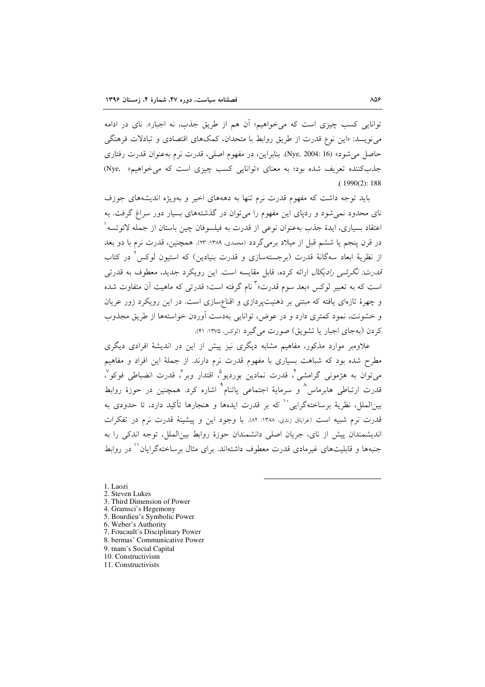توانایی کسب چیزی است که می خواهیم؛ آن هم از طریق جذب، نه اجبار». نای در ادامه می نویسد: «این نوع قدرت از طریق روابط با متحدان، کمکهای اقتصادی و تبادلات فرهنگی حاصل می شود» (Nye, 2004: 16). بنابراین، در مفهوم اصلی، قدرت نرم بهعنوان قدرت رفتاری جذب کننده تعریف شده بود؛ به معنای «توانایی کسب چیزی است که می خواهیم» (Nye,  $(1990(2): 188)$ 

باید توجه داشت که مفهوم قدرت نرم تنها به دهههای اخیر و بهویژه اندیشههای جوزف نای محدود نمی شود و ردیای این مفهوم را می توان در گذشتههای بسیار دور سراغ گرفت. به اعتقاد بسياري، ايدهٔ جذب بهعنوان نوعي از قدرت به فيلسوفان چين باستان از جمله لائوتسه ْ در قرن پنجم یا ششم قبل از میلاد برمی گردد (محمدی، ۱۳۸۹: ۲۳). همچنین، قدرت نرم با دو بعد از نظریهٔ ابعاد سهگانهٔ قدرت (برجستهسازی و قدرت بنیادین) که استبون لوکس<sup>۲</sup> در کتاب ق*درت: نگرشی رادیکال* ارائه کرده، قابل مقایسه است. این رویکرد جدید، معطوف به قدرتی است که به تعبیر لوکس «بعد سوم قدرت»<sup>۳</sup> نام گرفته است؛ قدرت<sub>ی</sub> که ماهیت آن متفاوت شده و چهرهٔ تازهای یافته که مبتنی بر ذهنیتپردازی و اقناعسازی است. در این رویکرد زور عریان و خشونت، نمود کمتری دارد و در عوض، توانایی بهدست آوردن خواستهها از طریق مجذوب کردن (بهجای اجبار یا تشویق) صورت می گیرد (لوکس ۱۳۷۵: ۴۱).

علاوهبر موارد مذکور، مفاهیم مشابه دیگری نیز پیش از این در اندیشهٔ افرادی دیگری مطرح شده بود که شباهت بسیاری با مفهوم قدرت نرم دارند. از جملهٔ این افراد و مفاهیم مي توان به هژموني گرامشي ً، قدرت نمادين بورديو ْ، اقتدار وبر ً، قدرت انضباطي فوكو ٌ، قدرت ارتباطی هابرماس<sup>^</sup> و سرمایهٔ اجتماعی پاتنام<sup>۹</sup> اشاره کرد. همچنین در حوزهٔ روابط بینالملل، نظریهٔ برساختهگرایی<sup>۱۰</sup> که بر قدرت ایدهها و هنجارها تأکید دارد، تا حدودی به قدرت نرم شبیه است (غراباق زندی، ۱۳۸۸: ۸۲). با وجود این و پیشینهٔ قدرت نرم در تفکرات اندیشمندان پیش از نای، جریان اصلی دانشمندان حوزهٔ روابط بین(لملل، توجه اندکی را به جنبهها و قابلیتهای غیرمادی قدرت معطوف داشتهاند. برای مثال برساختهگرایان `` در روابط

1. Laozi

- 2. Steven Lukes
- 3. Third Dimension of Power
- 4. Gramsci's Hegemony 5. Bourdieu's Symbolic Power
- 6. Weber's Authority
- 7. Foucault's Disciplinary Power
- 8. bermas' Communicative Power
- 9. tnam's Social Capital
- 10. Constructivism
- 11. Constructivists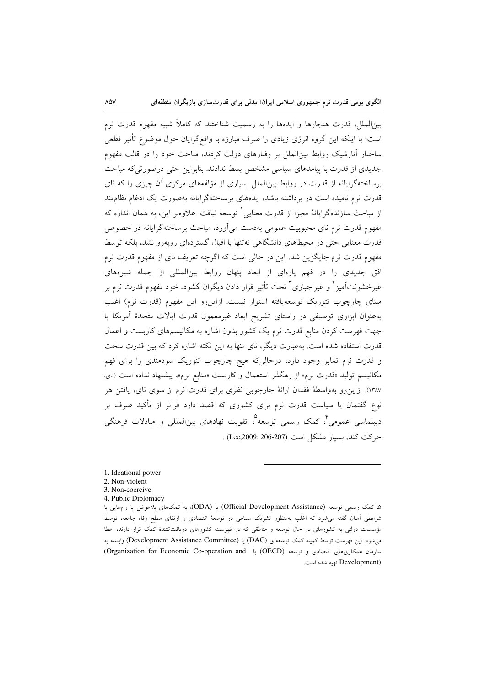بین|لملل، قدرت هنجارها و ایدهها را به رسمیت شناختند که کاملاً شبیه مفهوم قدرت نرم است؛ با اینکه این گروه انرژی زیادی را صرف مبارزه با واقع گرایان حول موضوع تأثیر قطعی ساختار آنارشیک روابط بینالملل بر رفتارهای دولت کردند، مباحث خود را در قالب مفهوم جدیدی از قدرت با پیامدهای سیاسی مشخص بسط ندادند. بنابراین حتی درصورتی که مباحث برساختهگرایانه از قدرت در روابط بین|لملل بسیاری از مؤلفههای مرکزی آن چیزی را که نای قدرت نرم نامیده است در برداشته باشد، ایدههای برساختهگرایانه بهصورت یک ادغام نظامهند از مباحث سازندهگرايانهٔ مجزا از قدرت معنايي ` توسعه نيافت. علاوهبر اين، به همان اندازه كه مفهوم قدرت نرم نای محبوبیت عمومی بهدست می آورد، مباحث برساخته گرایانه در خصوص قدرت معنایی حتی در محیطهای دانشگاهی نهتنها با اقبال گستردهای روبهرو نشد، بلکه توسط مفهوم قدرت نرم جایگزین شد. این در حالی است که اگرچه تعریف نای از مفهوم قدرت نرم افق جدیدی را در فهم یارهای از ابعاد پنهان روابط بین المللی از جمله شیوههای غیرخشونتآمیز <sup>۲</sup> و غیراجباری <sup>۳</sup> تحت تأثیر قرار دادن دیگران گشود، خود مفهوم قدرت نرم بر مبنای چارچوب تئوریک توسعهیافته استوار نیست. ازاین رو این مفهوم (قدرت نرم) اغلب بهعنوان ابزاری توصیفی در راستای تشریح ابعاد غیرمعمول قدرت ایالات متحدهٔ آمریکا یا جهت فهرست کردن منابع قدرت نرم یک کشور بدون اشاره به مکانیسمهای کاربست و اعمال قدرت استفاده شده است. بهعبارت دیگر، نای تنها به این نکته اشاره کرد که بین قدرت سخت و قدرت نرم تمایز وجود دارد، درحالیکه هیچ چارچوب تئوریک سودمندی را برای فهم مکانیسم تولید «قدرت نرم» از رهگذر استعمال و کاربست «منابع نرم»، پیشنهاد نداده است (نای، ۱۳۸۷). ازاین٫رو بهواسطهٔ فقدان ارائهٔ چارچوبی نظری برای قدرت نرم از سوی نای، یافتن هر نوع گفتمان یا سیاست قدرت نرم برای کشوری که قصد دارد فراتر از تأکید صرف بر دیپلماسی عمومی ٌ، کمک رسمی توسعه ؓ، تقویت نهادهای بین|لمللی و مبادلات فرهنگی حركت كند، بسيار مشكل است (Lee,2009: 206-207).

- 3. Non-coercive
- 4. Public Diplomacy

۵ـ کمک رسمی توسعه (Official Development Assistance) یا (ODA). به کمکهای بلاعوض یا وامهایی با شرایطی آسان گفته میشود که اغلب بهمنظور تشریک مساعی در توسعهٔ اقتصادی و ارتقای سطح رفاه جامعه، توسط مؤسسات دولتی به کشورهای در حال توسعه و مناطقی که در فهرست کشورهای دریافتکنندهٔ کمک قرار دارند، اعطا می شود. این فهرست توسط کمیتهٔ کمک توسعهای (DAC) یا (Development Assistance Committee) وابسته به سازمان همکاریهای اقتصادی و توسعه (OECD) یا Organization for Economic Co-operation and) (Development تهيه شده است.

 $\lambda$   $\land\forall$ 

<sup>1.</sup> Ideational power

<sup>2.</sup> Non-violent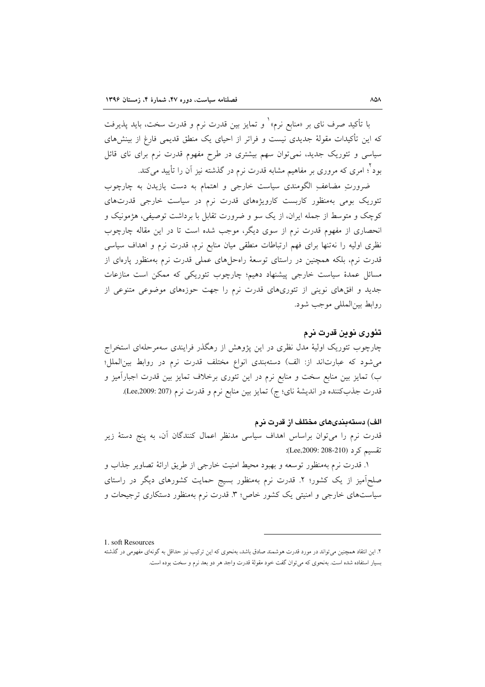با تأكيد صرف ناي بر «منابع نرم» ٰ و تمايز بين قدرت نرم و قدرت سخت، بايد پذيرفت که این تأکیدات مقولهٔ جدیدی نیست و فراتر از احیای یک منطق قدیمی فارغ از بینشهای سیاسی و تئوریک جدید، نمیتوان سهم بیشتری در طرح مفهوم قدرت نرم برای نای قائل بود ٔ؛ امری که مروری بر مفاهیم مشابه قدرت نرم در گذشته نیز آن را تأیید میکند.

ضرورتِ مضاعفِ الگومندی سیاست خارجی و اهتمام به دست یازیدن به چارچوب تئوریک بومی بهمنظور کاربست کارویژههای قدرت نرم در سیاست خارجی قدرتهای کوچک و متوسط از جمله ایران، از یک سو و ضرورت تقابل با برداشت توصیفی، هژمونیک و انحصاری از مفهوم قدرت نرم از سوی دیگر، موجب شده است تا در این مقاله چارچوب نظری اولیه را نهتنها برای فهم ارتباطات منطقی میان منابع نرم، قدرت نرم و اهداف سیاسی قدرت نرم، بلکه همچنین در راستای توسعهٔ راهحلهای عملی قدرت نرم بهمنظور پارهای از مسائل عمدهٔ سیاست خارجی پیشنهاد دهیم؛ چارچوب تئوریکی که ممکن است منازعات جدید و افقهای نوینی از تئوریهای قدرت نرم را جهت حوزههای موضوعی متنوعی از روابط بين المللي موجب شود.

### تئوری نوین قدرت نرم

چارچوب تئوریک اولیهٔ مدل نظری در این پژوهش از رهگذر فرایندی سهمرحلهای استخراج می شود که عبارتاند از: الف) دستهبندی انواع مختلف قدرت نرم در روابط بین الملل؛ ب) تمایز بین منابع سخت و منابع نرم در این تئوری برخلاف تمایز بین قدرت اجبارآمیز و قدرت جذبکننده در اندیشهٔ نای؛ ج) تمایز بین منابع نرم و قدرت نرم (207:2009).

### الف) دستهبندیهای مختلف از قدرت نرم

قدرت نرم را می توان براساس اهداف سیاسی مدنظر اعمال کنندگان آن، به پنج دستهٔ زیر تقسیم کر د (Lee,2009: 208-210):

۱. قدرت نرم بهمنظور توسعه و بهبود محیط امنیت خارجی از طریق ارائهٔ تصاویر جذاب و صلحآمیز از یک کشور؛ ۲. قدرت نرم بهمنظور بسیج حمایت کشورهای دیگر در راستای سیاستهای خارجی و امنیتی یک کشور خاص؛ ۳. قدرت نرم بهمنظور دستکاری ترجیحات و

1 soft Resources

۲. این انتقاد همچنین می تواند در مورد قدرت هوشمند صادق باشد، بهنحوی که این ترکیب نیز حداقل به گونهای مفهومی در گذشته بسیار استفاده شده است. بهنحوی که میتوان گفت خود مقولهٔ قدرت واجد هر دو بعد نرم و سخت بوده است.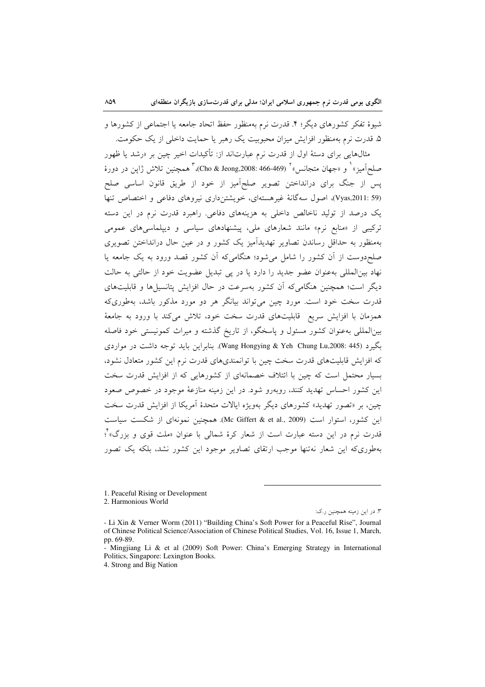شیوهٔ تفکر کشورهای دیگر؛ ۴. قدرت نرم بهمنظور حفظ اتحاد جامعه یا اجتماعی از کشورها و ۵. قدرت نرم بهمنظور افزایش میزان محبوبیت یک رهبر یا حمایت داخلی از یک حکومت.

مثالهایی برای دستهٔ اول از قدرت نرم عبارتاند از: تأکیدات اخیر چین بر «رشد یا ظهور صلحآميز» ٰ و «جهان متجانس» ٗ (Cho & Jeong,2008: 466-469)، ؓ همچنين تلاش ژاپن در دورهٔ پس از جنگ برای درانداختن تصویر صلحآمیز از خود از طریق قانون اساسی صلح (Vyas,2011: 59)، اصول سهگانهٔ غیرهستهای، خویشتن داری نیروهای دفاعی و اختصاص تنها یک درصد از تولید ناخالص داخلی به هزینههای دفاعی. راهبرد قدرت نرم در این دسته ترکیبی از «منابع نرم» مانند شعارهای ملی، پیشنهادهای سیاسی و دیپلماسی های عمومی بهمنظور به حداقل رساندن تصاویر تهدیدآمیز یک کشور و در عین حال درانداختن تصویری صلح،دوست از اَن کشور را شامل می شود؛ هنگامی که اَن کشور قصد ورود به یک جامعه یا نهاد بینالمللی بهعنوان عضو جدید را دارد یا در پی تبدیل عضویت خود از حالتی به حالت دیگر است؛ همچنین هنگامی که آن کشور بهسرعت در حال افزایش پتانسپل ها و قابلیتهای قدرت سخت خود است. مورد چین میتواند بیانگر هر دو مورد مذکور باشد، بهطوریکه همزمان با افزایش سریع ِ قابلیتهای قدرت سخت خود، تلاش میکند با ورود به جامعهٔ بینالمللی بهعنوان کشور مسئول و پاسخگو، از تاریخ گذشته و میراث کمونیستی خود فاصله بگیرد (Wang Hongying & Yeh Chung Lu,2008: 445). بنابراین باید توجه داشت در مواردی که افزایش قابلیتهای قدرت سخت چین با توانمندیهای قدرت نرم این کشور متعادل نشود، بسیار محتمل است که چین با ائتلاف خصمانهای از کشورهایی که از افزایش قدرت سخت این کشور احساس تهدید کنند، روبهرو شود. در این زمینه منازعهٔ موجود در خصوص صعود چین، بر «تصور تهدید» کشورهای دیگر بهویژه ایالات متحدهٔ آمریکا از افزایش قدرت سخت این کشور، استوار است (Mc Giffert & et al., 2009). همچنین نمونهای از شکست سیاست قدرت نرم در این دسته عبارت است از شعار کرهٔ شمالی با عنوان «ملت قوی و بزرگ» ٌ؛ بهطوری که این شعار نهتنها موجب ارتقای تصاویر موجود این کشور نشد، بلکه یک تصور

2. Harmonious World

 $\Lambda \Lambda$ 

۳. در این زمینه همچنین ر.ک:

<sup>1.</sup> Peaceful Rising or Development

<sup>-</sup> Li Xin & Verner Worm (2011) "Building China's Soft Power for a Peaceful Rise", Journal of Chinese Political Science/Association of Chinese Political Studies, Vol. 16, Issue 1, March, pp. 69-89.

Mingjiang Li & et al (2009) Soft Power: China's Emerging Strategy in International Politics, Singapore: Lexington Books.

<sup>4.</sup> Strong and Big Nation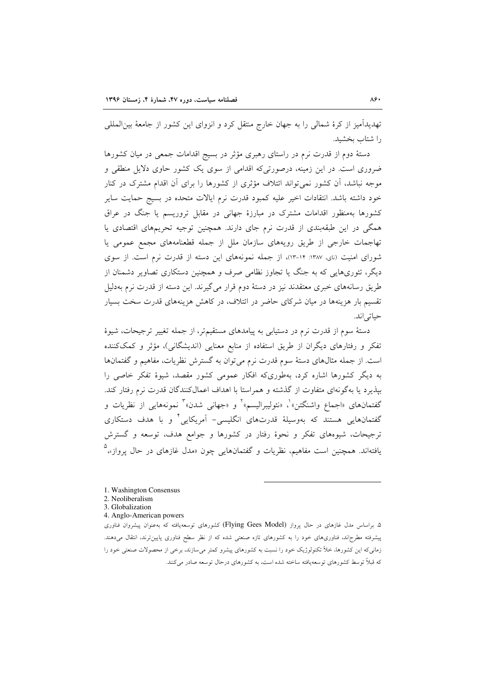تهدیدآمیز از کرهٔ شمالی را به جهان خارج منتقل کرد و انزوای این کشور از جامعهٔ بین|لمللی را شتاب بخشيد.

دستهٔ دوم از قدرت نرم در راستای رهبری مؤثر در بسیج اقدامات جمعی در میان کشورها ضروری است. در این زمینه، درصورتی که اقدامی از سوی یک کشور حاوی دلایل منطقی و موجه نباشد، آن کشور نمی تواند ائتلاف مؤثری از کشورها را برای آن اقدام مشترک در کنار خود داشته باشد. انتقادات اخیر علیه کمبود قدرت نرم ایالات متحده در بسیج حمایت سایر کشورها بهمنظور اقدامات مشترک در مبارزهٔ جهانی در مقابل تروریسم یا جنگ در عراق همگی در این طبقهبندی از قدرت نرم جای دارند. همچنین توجیه تحریمهای اقتصادی یا تهاجمات خارجی از طریق رویههای سازمان ملل از جمله قطعنامههای مجمع عمومی یا شورای امنیت (نای، ۱۳۸۷: ۱۴-۱۳)، از جمله نمونههای این دسته از قدرت نرم است. از سوی دیگر، تئوریهایی که به جنگ یا تجاوز نظامی صرف و همچنین دستکاری تصاویر دشمنان از طریق رسانههای خبری معتقدند نیز در دستهٔ دوم قرار میگیرند. این دسته از قدرت نرم بهدلیل تقسیم بار هزینهها در میان شرکای حاضر در ائتلاف، در کاهش هزینههای قدرت سخت بسیار حياتي اند.

دستهٔ سوم از قدرت نرم در دستیابی به پیامدهای مستقیمتر، از جمله تغییر ترجیحات، شیوهٔ تفکر و رفتارهای دیگران از طریق استفاده از منابع معنایی (اندیشگانی)، مؤثر و کمککننده است. از جمله مثالهای دستهٔ سوم قدرت نرم می توان به گسترش نظریات، مفاهیم و گفتمانها به دیگر کشورها اشاره کرد، بهطوریکه افکار عمومی کشور مقصد، شیوهٔ تفکر خاصی را بیذیرد یا بهگونهای متفاوت از گذشته و همراستا با اهداف اعمالکنندگان قدرت نرم رفتار کند. گفتمانهای «اجماع واشنگتن» ْ، «نئوليبراليسم» ْ و «جهانی شدن» ْ نمونههايی از نظريات و گفتمانهایی هستند که بهوسیلهٔ قدرتهای انگلیسی– آمریکایی ٔ و با هدف دستکاری ترجیحات، شیوههای تفکر و نحوهٔ رفتار در کشورها و جوامع هدف، توسعه و گسترش یافتهاند. همچنین است مفاهیم، نظریات و گفتمانهایی چون «مدل غازهای در حال پرواز»،

- 1. Washington Consensus
- 2. Neoliberalism
- 3 Globalization
- 4. Anglo-American powers

۵. براساس مدل غازهای در حال پرواز (Flying Gees Model) کشورهای توسعهٔیافته که بهعنوان پیشروان فناوری پیشرفته مطرح|ند، فناوریهای خود را به کشورهای تازه صنعتی شده که از نظر سطح فناوری پایینترند، انتقال میدهند. زمانیکه این کشورها، خلأ تکنولوژیک خود را نسبت به کشورهای پیشرو کمتر میسازند، برخی از محصولات صنعتی خود را که قبلاً توسط کشورهای توسعهیافته ساخته شده است، به کشورهای درحال توسعه صادر میکنند.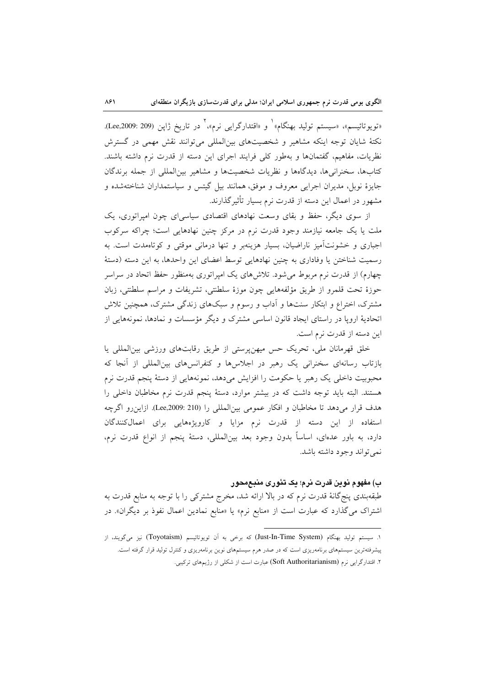«تويوتائيسم»، «سيستم توليد بهنگام»<sup>\</sup> و «اقتدارگرايي نرم»،<sup>٢</sup> در تاريخ ژاپن (209: 2099.209). نکتهٔ شایان توجه اینکه مشاهیر و شخصیتهای بینالمللی می توانند نقش مهمی در گسترش نظریات، مفاهیم، گفتمانها و بهطور کلی فرایند اجرای این دسته از قدرت نرم داشته باشند. کتابها، سخنرانیها، دیدگاهها و نظریات شخصیتها و مشاهیر بین المللی از جمله برندگان جایزهٔ نوبل، مدیران اجرایی معروف و موفق، همانند بیل گیتس و سیاستمداران شناختهشده و مشهور در اعمال این دسته از قدرت نرم بسیار تأثیر گذارند.

از سوی دیگر، حفظ و بقای وسعت نهادهای اقتصادی سیاسی ای چون امیراتوری، یک ملت یا یک جامعه نیازمند وجود قدرت نرم در مرکز چنین نهادهایی است؛ چراکه سرکوب اجباری و خشونتآمیز ناراضیان، بسیار هزینهبر و تنها درمانی موقتی و کوتامهدت است. به رسمیت شناختن یا وفاداری به چنین نهادهایی توسط اعضای این واحدها، به این دسته (دستهٔ چهارم) از قدرت نرم مربوط می شود. تلاش های یک امپراتوری بهمنظور حفظ اتحاد در سراسر حوزهٔ تحت قلمرو از طریق مؤلفههایی چون موزهٔ سلطنتی، تشریفات و مراسم سلطنتی، زبان مشترک، اختراع و ابتکار سنتها و اَداب و رسوم و سبکهای زندگی مشترک، همچنین تلاش اتحادیهٔ اروپا در راستای ایجاد قانون اساسی مشترک و دیگر مؤسسات و نمادها، نمونههایی از اين دسته از قدرت نرم است.

خلق قهرمانان ملي، تحريک حس ميهنپرستي از طريق رقابتهاي ورزشي بين المللي يا بازتاب رسانهای سخنرانی یک رهبر در اجلاسها و کنفرانسهای بینالمللی از آنجا که محبوبیت داخلی یک رهبر یا حکومت را افزایش میدهد، نمونههایی از دستهٔ پنجم قدرت نرم هستند. البته باید توجه داشت که در بیشتر موارد، دستهٔ پنجم قدرت نرم مخاطبان داخلی را هدف قرار میدهد تا مخاطبان و افکار عمومی بینالمللی را (Lee,2009: 210). ازاین رو اگرچه استفاده از این دسته از قدرت نرم مزایا و کارویژههایی برای اعمالکنندگان دارد، به باور عدهاي، اساساً بدون وجود بعد بين|لمللي، دستهٔ پنجم از انواع قدرت نرم، نمي تواند وجود داشته باشد.

## ب) مفهوم نوین قدرت نرم؛ یک تئوری منبع محور

طبقهبندی پنج گانهٔ قدرت نرم که در بالا ارائه شد، مخرج مشترکی را با توجه به منابع قدرت به اشتراک میگذارد که عبارت است از «منابع نرم» یا «منابع نمادین اعمال نفوذ بر دیگران». در

۱. سیستم تولید بهنگام (Just-In-Time System) که برخی به اَن تویوتائیسم (Toyotaism) نیز میگویند، از پیشرفتهترین سیستمهای برنامهریزی است که در صدر هرم سیستمهای نوین برنامهریزی و کنترل تولید قرار گرفته است. ۲. اقتدارگرایی نرم (Soft Authoritarianism) عبارت است از شکلی از رژیمهای ترکیبی.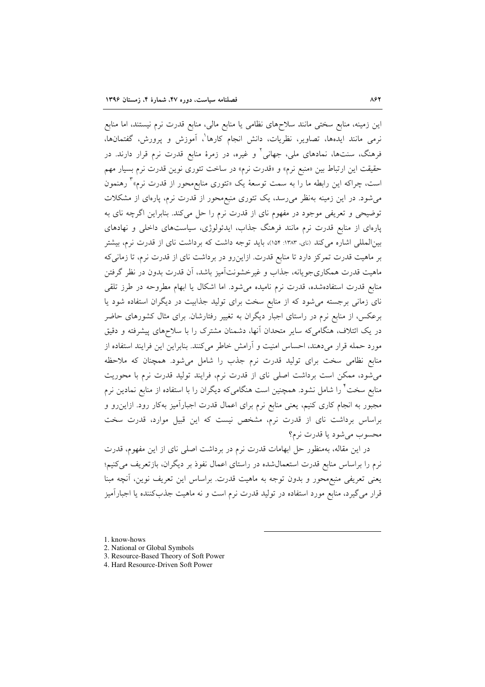این زمینه، منابع سختی مانند سلاحهای نظامی یا منابع مالی، منابع قدرت نرم نیستند، اما منابع نرمی مانند ایدهها، تصاویر، نظریات، دانش انجام کارها<sup>\</sup>، آموزش و پرورش، گفتمانها، فرهنگ، سنتها، نمادهای ملی، جهانی<sup>۲</sup> و غیره، در زمرهٔ منابع قدرت نرم قرار دارند. در حقیقت این ارتباط بین «منبع نرم» و «قدرت نرم» در ساخت تئوری نوین قدرت نرم بسیار مهم است، چراکه این رابطه ما را به سمت توسعهٔ یک «تئوری منابع،محور از قدرت نرم»<sup>۳</sup> رهنمون می شود. در این زمینه بهنظر می رسد، یک تئوری منبع محور از قدرت نرم، پارهای از مشکلات توضیحی و تعریفی موجود در مفهوم نای از قدرت نرم را حل می کند. بنابراین اگرچه نای به پارهای از منابع قدرت نرم مانند فرهنگ جذاب، ایدئولوژی، سیاستهای داخلی و نهادهای بینالمللی اشاره میکند (نای، ۱۳۸۳: ۱۵۴)، باید توجه داشت که برداشت نای از قدرت نرم، بیشتر بر ماهیت قدرت تمرکز دارد تا منابع قدرت. ازاین رو در برداشت نای از قدرت نرم، تا زمانی که ماهیت قدرت همکاریجویانه، جذاب و غیرخشونتآمیز باشد، آن قدرت بدون در نظر گرفتن منابع قدرت استفادهشده، قدرت نرم نامیده میشود. اما اشکال یا ابهام مطروحه در طرز تلقی نای زمانی برجسته می شود که از منابع سخت برای تولید جذابیت در دیگران استفاده شود یا برعکس، از منابع نرم در راستای اجبار دیگران به تغییر رفتارشان. برای مثال کشورهای حاضر در یک ائتلاف، هنگامیکه سایر متحدان آنها، دشمنان مشترک را با سلاحهای پیشرفته و دقیق مورد حمله قرار میدهند، احساس امنیت و آرامش خاطر می کنند. بنابراین این فرایند استفاده از منابع نظامی سخت برای تولید قدرت نرم جذب را شامل می شود. همچنان که ملاحظه می شود، ممکن است برداشت اصلی نای از قدرت نرم، فرایند تولید قدرت نرم با محوریت منابع سخت ٔ را شامل نشود. همچنین است هنگامیکه دیگران را با استفاده از منابع نمادین نرم مجبور به انجام کاری کنیم، یعنی منابع نرم برای اعمال قدرت اجبارآمیز بهکار رود. ازاین٫رو و براساس برداشت نای از قدرت نرم، مشخص نیست که این قبیل موارد، قدرت سخت محسوب مي شود يا قدرت نرم؟

در این مقاله، بهمنظور حل ابهامات قدرت نرم در برداشت اصلی نای از این مفهوم، قدرت نرم را براساس منابع قدرت استعمال شده در راستای اعمال نفوذ بر دیگران، بازتعریف می کنیم؛ يعني تعريفي منبع محور و بدون توجه به ماهيت قدرت. براساس اين تعريف نوين، آنچه مبنا قرار میگیرد، منابع مورد استفاده در تولید قدرت نرم است و نه ماهیت جذبکننده یا اجبارآمیز

1. know-hows

- 2. National or Global Symbols
- 3. Resource-Based Theory of Soft Power
- 4. Hard Resource-Driven Soft Power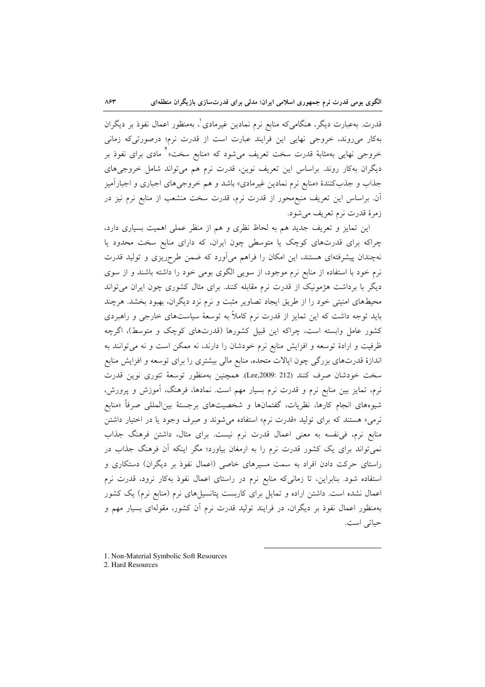قدرت. بهعبارت دیگر، هنگامی که منابع نرم نمادین غیرمادی ْ، بهمنظور اعمال نفوذ بر دیگران بهکار میروند، خروجی نهایی این فرایند عبارت است از قدرت نرم؛ درصورتیکه زمانی خروجی نهایی بهمثابهٔ قدرت سخت تعریف میشود که «منابع سخت»<sup>۲</sup> مادی برای نفوذ بر دیگران بهکار روند. براساس این تعریف نوین، قدرت نرم هم میتواند شامل خروجیهای جذاب و جذب کنندهٔ «منابع نرم نمادین غیرمادی» باشد و هم خروجیهای اجباری و اجبارآمیز آن. براساس این تعریف منبع،محور از قدرت نرم، قدرت سخت منشعب از منابع نرم نیز در زمرهٔ قدرت نرم تعریف میشود.

این تمایز و تعریف جدید هم به لحاظ نظری و هم از منظر عملی اهمیت بسیاری دارد، چراکه برای قدرتهای کوچک یا متوسطی چون ایران، که دارای منابع سخت محدود یا نهچندان پیشرفتهای هستند، این امکان را فراهم میآورد که ضمن طرحریزی و تولید قدرت نرم خود با استفاده از منابع نرم موجود، از سویی الگوی بومی خود را داشته باشند و از سوی دیگر با برداشت هژمونیک از قدرت نرم مقابله کنند. برای مثال کشوری چون ایران میتواند محیطهای امنیتی خود را از طریق ایجاد تصاویر مثبت و نرم نزد دیگران، بهبود بخشد. هرچند باید توجه داشت که این تمایز از قدرت نرم کاملاً به توسعهٔ سیاستهای خارجی و راهبردی کشور عامل وابسته است، چراکه این قبیل کشورها (قدرتهای کوچک و متوسط)، اگرچه ظرفیت و ارادهٔ توسعه و افزایش منابع نرم خودشان را دارند، نه ممکن است و نه میتوانند به اندازهٔ قدرتهای بزرگی چون ایالات متحده، منابع مالی بیشتری را برای توسعه و افزایش منابع سخت خودشان صرف كنند (Lee,2009: 212). همچنين بهمنظور توسعهٔ تئوري نوين قدرت نرم، تمایز بین منابع نرم و قدرت نرم بسیار مهم است. نمادها، فرهنگ، آموزش و پرورش، شیوههای انجام کارها، نظریات، گفتمانها و شخصیتهای برجستهٔ بین|لمللی صرفاً «منابع نرمي» هستند كه براي توليد «قدرت نرم» استفاده مي شوند و صرف وجود يا در اختيار داشتن منابع نرم، في نفسه به معنى اعمال قدرت نرم نيست. براي مثال، داشتن فرهنگ جذاب نمی تواند برای یک کشور قدرت نرم را به ارمغان بیاورد؛ مگر اینکه آن فرهنگ جذاب در راستای حرکت دادن افراد به سمت مسیرهای خاصی (اعمال نفوذ بر دیگران) دستکاری و استفاده شود. بنابراین، تا زمانیکه منابع نرم در راستای اعمال نفوذ بهکار نرود، قدرت نرم اعمال نشده است. داشتن اراده و تمایل برای کاربست پتانسیلهای نرم (منابع نرم) یک کشور بهمنظور اعمال نفوذ بر دیگران، در فرایند تولید قدرت نرم آن کشور، مقولهای بسیار مهم و حياتي است.

1. Non-Material Symbolic Soft Resources

2. Hard Resources

 $\lambda$ ۶۳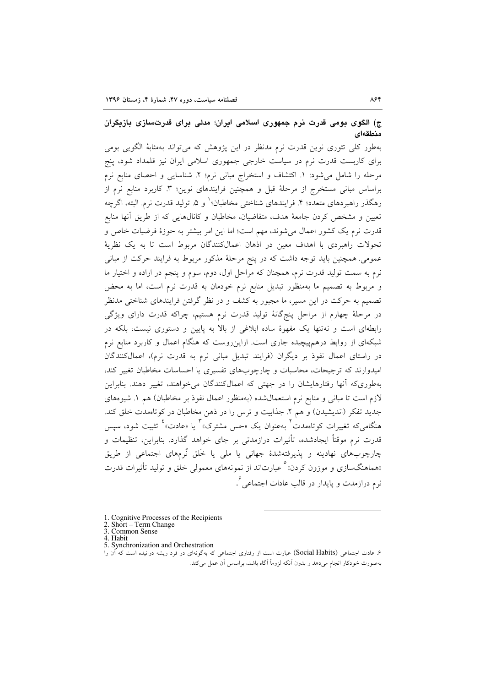# ج) الگوی بومی قدرت نرم جمهوری اسلامی ایران؛ مدلی برای قدرتسازی بازیگران منطقهاى

بهطور کلی تئوری نوین قدرت نرم مدنظر در این پژوهش که میتواند بهمثابهٔ الگویی بومی برای کاربست قدرت نرم در سیاست خارجی جمهوری اسلامی ایران نیز قلمداد شود، پنج مرحله را شامل می شود: ١. اكتشاف و استخراج مبانی نرم؛ ٢. شناسایی و احصای منابع نرم براساس مبانی مستخرج از مرحلهٔ قبل و همچنین فرایندهای نوین؛ ۳. کاربرد منابع نرم از رهگذر راهبردهای متعدد؛ ۴. فرایندهای شناختی مخاطبان؛ ٰ و ۵. تولید قدرت نرم. البته، اگرچه تعیین و مشخص کردن جامعهٔ هدف، متقاضیان، مخاطبان و کانالهایی که از طریق آنها منابع قدرت نرم یک کشور اعمال می شوند، مهم است؛ اما این امر بیشتر به حوزهٔ فرضیات خاص و تحولات راهبردی با اهداف معین در اذهان اعمالکنندگان مربوط است تا به یک نظریهٔ عمومی. همچنین باید توجه داشت که در پنج مرحلهٔ مذکور مربوط به فرایند حرکت از مبانی نرم به سمت تولید قدرت نرم، همچنان که مراحل اول، دوم، سوم و پنجم در اراده و اختیار ما و مربوط به تصمیم ما بهمنظور تبدیل منابع نرم خودمان به قدرت نرم است، اما به محض تصمیم به حرکت در این مسیر، ما مجبور به کشف و در نظر گرفتن فرایندهای شناختی مدنظر در مرحلهٔ چهارم از مراحل پنجگانهٔ تولید قدرت نرم هستیم، چراکه قدرت دارای ویژگی رابطهای است و نهتنها یک مفهوهٔ ساده ابلاغی از بالا به پایین و دستوری نیست، بلکه در شبکهای از روابط درهمپیچیده جاری است. ازاینروست که هنگام اعمال و کاربرد منابع نرم در راستای اعمال نفوذ بر دیگران (فرایند تبدیل مبانی نرم به قدرت نرم)، اعمالکنندگان امیدوارند که ترجیحات، محاسبات و چارچوبهای تفسیری یا احساسات مخاطبان تغییر کند، بهطوری که آنها رفتارهایشان را در جهتی که اعمالکنندگان میخواهند، تغییر دهند. بنابراین لازم است تا مبانی و منابع نرم استعمال شده (بهمنظور اعمال نفوذ بر مخاطبان) هم ١. شیوههای جدید تفکر (اندیشیدن) و هم ۲. جذابیت و ترس را در ذهن مخاطبان در کوتاهمدت خلق کند. هنگامی که تغییرات کوتاهمدت <sup>۲</sup> بهعنوان یک «حس مشترک» <sup>۲</sup> یا «عادت» <sup>۴</sup> تثبیت شود، سیس قدرت نرم موقتاً ايجادشده، تأثيرات درازمدتي بر جاي خواهد گذارد. بنابراين، تنظيمات و چارچوبهای نهادینه و پذیرفتهشدهٔ جهانی یا ملی یا خَلق نُرمهای اجتماعی از طریق «هماهنگسازی و موزون کردن» ْ عبارتاند از نمونههای معمولی خلق و تولید تأثیرات قدرت نرم درازمدت و پایدار در قالب عادات اجتماع<sub>ه ،</sub> <sup>۶</sup>.

<sup>1.</sup> Cognitive Processes of the Recipients

<sup>2.</sup> Short – Term Change

<sup>3.</sup> Common Sense 4. Habit

<sup>5.</sup> Synchronization and Orchestration

۶. عادت اجتماعی (Social Habits) عبارت است از رفتاری اجتماعی که بهگونهای در فرد ریشه دوانیده است که آن را بهصورت خودکار انجام می،دهد و بدون آنکه لزوماً آگاه باشد، براساس آن عمل میکند.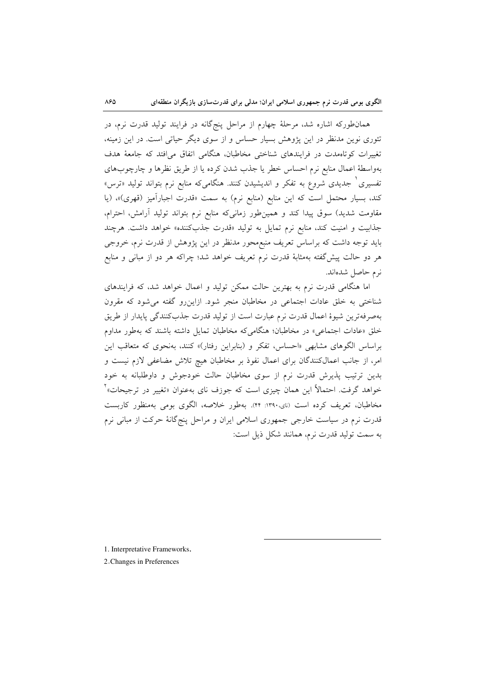همانطورکه اشاره شد، مرحلهٔ چهارم از مراحل پنجگانه در فرایند تولید قدرت نرم، در تئوری نوین مدنظر در این یژوهش بسیار حساس و از سوی دیگر حیاتی است. در این زمینه، تغییرات کوتاهمدت در فرایندهای شناختی مخاطبان، هنگامی اتفاق می افتد که جامعهٔ هدف بهواسطهٔ اعمال منابع نرم احساس خطر یا جذب شدن کرده یا از طریق نظرها و چارچوبهای تفسیری <sup>۱</sup> جدیدی شروع به تفکر و اندیشیدن کنند. هنگامیکه منابع نرم بتواند تولید «ترس» کند، بسیار محتمل است که این منابع (منابع نرم) به سمت «قدرت اجبارآمیز (قهری)»، (یا مقاومت شدید) سوق پیدا کند و همینطور زمانیکه منابع نرم بتواند تولید آرامش، احترام، جذابیت و امنیت کند، منابع نرم تمایل به تولید «قدرت جذبکننده» خواهد داشت. هرچند باید توجه داشت که براساس تعریف منبع محور مدنظر در این پژوهش از قدرت نرم، خروجی هر دو حالت پیش گفته بهمثابهٔ قدرت نرم تعریف خواهد شد؛ چراکه هر دو از مبانی و منابع نرم حاصل شدهاند.

اما هنگامی قدرت نرم به بهترین حالت ممکن تولید و اعمال خواهد شد، که فرایندهای شناختی به خلق عادات اجتماعی در مخاطبان منجر شود. ازاین رو گفته می شود که مقرون بهصرفهترين شيوة اعمال قدرت نرم عبارت است از توليد قدرت جذب كنندگي پايدار از طريق خلق «عادات اجتماعی» در مخاطبان؛ هنگامی که مخاطبان تمایل داشته باشند که بهطور مداوم براساس الگوهای مشابهی «احساس، تفکر و (بنابراین رفتار)» کنند، بهنحوی که متعاقب این امر، از جانب اعمالکنندگان برای اعمال نفوذ بر مخاطبان هیچ تلاش مضاعفی لازم نیست و بدین ترتیب پذیرش قدرت نرم از سوی مخاطبان حالت خودجوش و داوطلبانه به خود خواهد گرفت. احتمالاً این همان چیزی است که جوزف نای بهعنوان «تغییر در ترجیحات»<sup>۲</sup> مخاطبان، تعریف کرده است (نای،۱۳۹۰: ۴۴). بهطور خلاصه، الگوی بومی بهمنظور کاربست قدرت نرم در سیاست خارجی جمهوری اسلامی ایران و مراحل پنجگانهٔ حرکت از مبانی نرم به سمت توليد قدرت نرم، همانند شكل ذيل است:

1. Interpretative Frameworks.

2. Changes in Preferences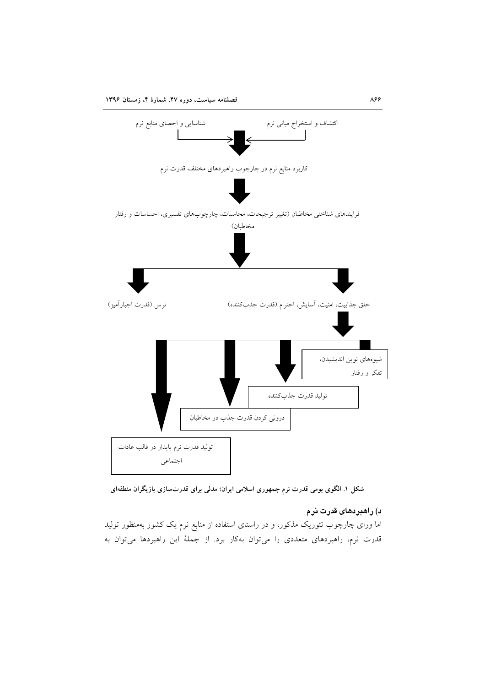

شکل ۱. الگوی بومی قدرت نرم جمهوری اسلامی ایران؛ مدلی برای قدرتسازی بازیگران منطقهای

## د) راهبردهای قدرت نرم

اما ورای چارچوب تئوریک مذکور، و در راستای استفاده از منابع نرم یک کشور بهمنظور تولید قدرت نرم، راهبردهای متعددی را میتوان بهکار برد. از جملهٔ این راهبردها میتوان به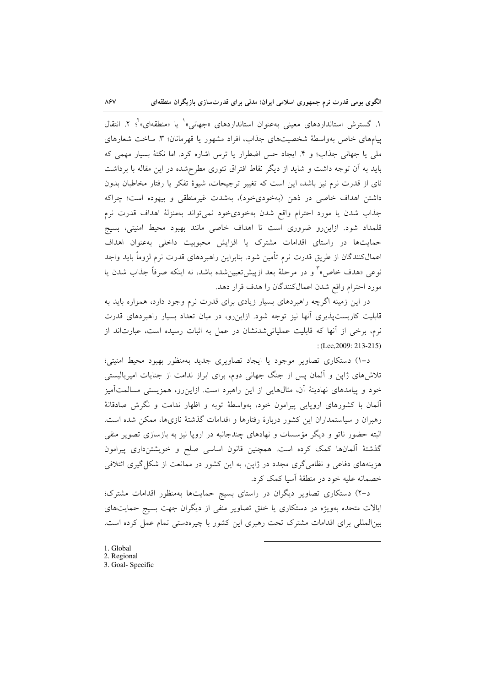۱. گسترش استانداردهای معینی بهعنوان استانداردهای «جهانی»<sup>۱</sup> یا «منطقهای»<sup>۲</sup>؛ ۲. انتقال پیامهای خاص بهواسطهٔ شخصیتهای جذاب، افراد مشهور یا قهرمانان؛ ۳. ساخت شعارهای ملی یا جهانی جذاب؛ و ۴. ایجاد حس اضطرار یا ترس اشاره کرد. اما نکتهٔ بسیار مهمی که باید به آن توجه داشت و شاید از دیگر نقاط افتراق تئوری مطرح شده در این مقاله با برداشت نای از قدرت نرم نیز باشد، این است که تغییر ترجیحات، شیوهٔ تفکر یا رفتار مخاطبان بدون داشتن اهداف خاصی در ذهن (بهخودیخود)، بهشدت غیرمنطقی و بیهوده است؛ چراکه جذاب شدن يا مورد احترام واقع شدن بهخودى خود نمى تواند بهمنزلة اهداف قدرت نرم قلمداد شود. ازاین رو ضروری است تا اهداف خاصی مانند بهبود محیط امنیتی، بسیج حمایتها در راستای اقدامات مشترک یا افزایش محبوبیت داخلی بهعنوان اهداف اعمالکنندگان از طریق قدرت نرم تأمین شود. بنابراین راهبردهای قدرت نرم لزوماً باید واجد نوعي «هدف خاص»<sup>٢</sup> و در مرحلهٔ بعد ازييشتمين شده باشد، نه اينكه صرفاً جذاب شدن يا مورد احترام واقع شدن اعمالكنندگان را هدف قرار دهد.

در این زمینه اگرچه راهبردهای بسیار زیادی برای قدرت نرم وجود دارد، همواره باید به قابلیت کاربستپذیری آنها نیز توجه شود. ازاینرو، در میان تعداد بسیار راهبردهای قدرت نرم، برخی از آنها که قابلیت عملیاتی شدنشان در عمل به اثبات رسیده است، عبارتاند از : (Lee, 2009: 213-215)

د-۱) دستکاری تصاویر موجود یا ایجاد تصاویری جدید بهمنظور بهبود محیط امنیتی؛ تلاشهای ژاپن و آلمان پس از جنگ جهانی دوم، برای ابراز ندامت از جنایات امپریالیستی خود و پیامدهای نهادینهٔ آن، مثالهایی از این راهبرد است. ازاینرو، همزیستی مسالمتآمیز ألمان با کشورهای اروپایی پیرامون خود، بهواسطهٔ توبه و اظهار ندامت و نگرش صادقانهٔ رهبران و سیاستمداران این کشور دربارهٔ رفتارها و اقدامات گذشتهٔ نازیها، ممکن شده است. البته حضور ناتو و دیگر مؤسسات و نهادهای چندجانبه در اروپا نیز به بازسازی تصویر منفی گذشتهٔ آلمانها کمک کرده است. همچنین قانون اساسی صلح و خویشتنداری پیرامون هزینههای دفاعی و نظامی گری مجدد در ژاپن، به این کشور در ممانعت از شکل گیری ائتلافی خصمانه عليه خود در منطقهٔ آسيا کمک کرد.

د-۲) دستکاری تصاویر دیگران در راستای بسیج حمایتها بهمنظور اقدامات مشترک؛ ایالات متحده بهویژه در دستکاری یا خلق تصاویر منفی از دیگران جهت بسیج حمایتهای بینالمللی برای اقدامات مشترک تحت رهبری این کشور با چیرهدستی تمام عمل کرده است.

1. Global

 $\lambda$ ۶۷

- 2. Regional
- 3. Goal- Specific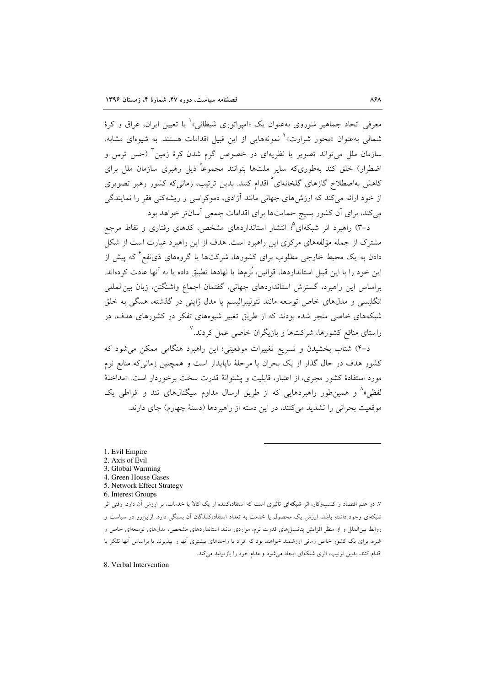معرفی اتحاد جماهیر شوروی بهعنوان یک «امیراتوری شیطانی» ٰ یا تعیین ایران، عراق و کرهٔ شمالی بهعنوان «محور شرارت»<sup>۲</sup> نمونههایی از این قبیل اقدامات هستند. به شیوهای مشابه، سازمان ملل میتواند تصویر یا نظریهای در خصوص گرم شدن کرهٔ زمین <sup>۳</sup> (حس ترس و اضطرار) خلق کند بهطوریکه سایر ملتها بتوانند مجموعاً ذیل رهبری سازمان ملل برای کاهش بهاصطلاح گازهای گلخانهای<sup>۲</sup> اقدام کنند. بدین ترتیب، زمانی که کشور رهبر تصویری از خود ارائه می کند که ارزش های جهانی مانند آزادی، دموکراسی و ریشهکنی فقر را نمایندگی می کند، برای آن کشور بسیج حمایتها برای اقدامات جمعی آسانتر خواهد بود.

د–۳) راهبرد اثر شبکهای°؛ انتشار استانداردهای مشخص، کدهای رفتاری و نقاط مرجع مشترک از جمله مؤلفههای مرکزی این راهبرد است. هدف از این راهبرد عبارت است از شکل دادن به یک محیط خارجی مطلوب برای کشورها، شرکتها یا گروههای ذی $نفع<sup>۶</sup> که پیش از$ این خود را با این قبیل استانداردها، قوانین، نُرمها یا نهادها تطبیق داده یا به آنها عادت کردهاند. براساس این راهبرد، گسترش استانداردهای جهانی، گفتمان اجماع واشنگتن، زبان بین المللی انگلیسی و مدلهای خاص توسعه مانند نئولیبرالیسم یا مدل ژاپنی در گذشته، همگی به خلق شبکههای خاصی منجر شده بودند که از طریق تغییر شیوههای تفکر در کشورهای هدف، در راستای منافع کشورها، شرکتها و بازیگران خاصی عمل کردند.<sup>۷</sup>

د-۴) شتاب بخشیدن و تسریع تغییرات موقعیتی؛ این راهبرد هنگامی ممکن میشود که کشور هدف در حال گذار از یک بحران یا مرحلهٔ ناپایدار است و همچنین زمانیکه منابع نرم مورد استفادهٔ کشور مجری، از اعتبار، قابلیت و پشتوانهٔ قدرت سخت برخوردار است. «مداخلهٔ لفظی»^ و همین طور راهبردهایی که از طریق ارسال مداوم سیگنالهای تند و افراطی یک موقعیت بحرانی را تشدید میکنند، در این دسته از راهبردها (دستهٔ چهارم) جای دارند.

- 1. Evil Empire
- 2. Axis of Evil
- 3. Global Warming
- 4. Green House Gases
- 5. Network Effect Strategy
- 6. Interest Groups

۷. در علم اقتصاد و کسبوکار، اثر <mark>شبکهای</mark> تأثیری است که استفادهکننده از یک کالا یا خدمات، بر ارزش آن دارد. وقتی اثر شبکهای وجود داشته باشد، ارزش یک محصول یا خدمت به تعداد استفادهکنندگان آن بستگی دارد. ازاینررو در سیاست و روابط بینالملل و از منظر افزایش پتانسیلهای قدرت نرم، مواردی مانند استانداردهای مشخص، مدل۵های توسعهای خاص و .<br>غیره، برای یک کشور خاص زمانی ارزشمند خواهند بود که افراد یا واحدهای بیشتری آنها را بیذیرند یا براساس آنها تفکر یا اقدام کنند. بدین ترتیب، اثری شبکهای ایجاد می شود و مدام خود را بازتولید می کند.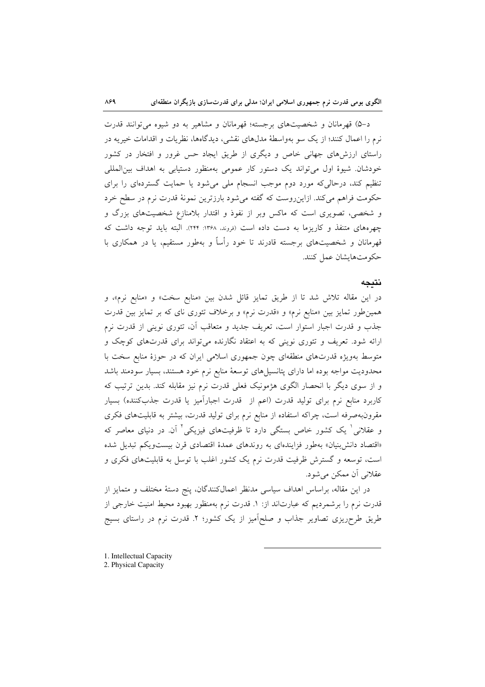د-۵) قهرمانان و شخصیتهای برجسته؛ قهرمانان و مشاهیر به دو شیوه می توانند قدرت نرم را اعمال کنند؛ از یک سو بهواسطهٔ مدلهای نقشی، دیدگاهها، نظریات و اقدامات خیریه در راستای ارزشهای جهانی خاص و دیگری از طریق ایجاد حس غرور و افتخار در کشور خودشان. شیوهٔ اول میتواند یک دستور کار عمومی بهمنظور دستیابی به اهداف بین المللی تنظیم کند، درحالی که مورد دوم موجب انسجام ملی می شود یا حمایت گستردهای را برای حکومت فراهم میکند. ازاینرروست که گفته میشود بارزترین نمونهٔ قدرت نرم در سطح خرد و شخصی، تصویری است که ماکس وبر از نفوذ و اقتدار بلامنازع شخصیتهای بزرگ و چهرههای متنفذ و کاریزما به دست داده است (فروند. ۱۳۶۸: ۲۴۴). البته باید توجه داشت که قهرمانان و شخصیتهای برجسته قادرند تا خود رأساً و بهطور مستقیم، یا در همکاری با حكومتهايشان عمل كنند.

#### نتىحە

در این مقاله تلاش شد تا از طریق تمایز قائل شدن بین «منابع سخت» و «منابع نرم»، و همین طور تمایز بین «منابع نرم» و «قدرت نرم» و برخلاف تئوری نای که بر تمایز بین قدرت جذب و قدرت اجبار استوار است، تعریف جدید و متعاقب آن، تئوری نوینی از قدرت نرم ارائه شود. تعریف و تئوری نوینی که به اعتقاد نگارنده می تواند برای قدرتهای کوچک و متوسط بهویژه قدرتهای منطقهای چون جمهوری اسلامی ایران که در حوزهٔ منابع سخت با محدودیت مواجه بوده اما دارای پتانسیلهای توسعهٔ منابع نرم خود هستند، بسیار سودمند باشد و از سوی دیگر با انحصار الگوی هژمونیک فعلی قدرت نرم نیز مقابله کند. بدین ترتیب که کاربرد منابع نرم برای تولید قدرت (اعم از ً قدرت اجباراًمیز یا قدرت جذبکننده) بسیار مقرونبهصرفه است، چراکه استفاده از منابع نرم برای تولید قدرت، بیشتر به قابلیتهای فکری و عقلانی ٔ یک کشور خاص بستگی دارد تا ظرفیتهای فیزیکی ٔ آن در دنیای معاصر که «اقتصاد دانش بنیان» بهطور فزایندهای به روندهای عمدهٔ اقتصادی قرن بیست ویکم تبدیل شده است، توسعه و گسترش ظرفیت قدرت نرم یک کشور اغلب با توسل به قابلیتهای فکری و عقلانی آن ممکن می شود.

در این مقاله، براساس اهداف سیاسی مدنظر اعمالکنندگان، پنج دستهٔ مختلف و متمایز از قدرت نرم را برشمردیم که عبارتاند از: ۱. قدرت نرم بهمنظور بهبود محیط امنیت خارجی از طریق طرحریزی تصاویر جذاب و صلحآمیز از یک کشور؛ ۲. قدرت نرم در راستای بسیج

1. Intellectual Capacity

# 2. Physical Capacity

 $A59$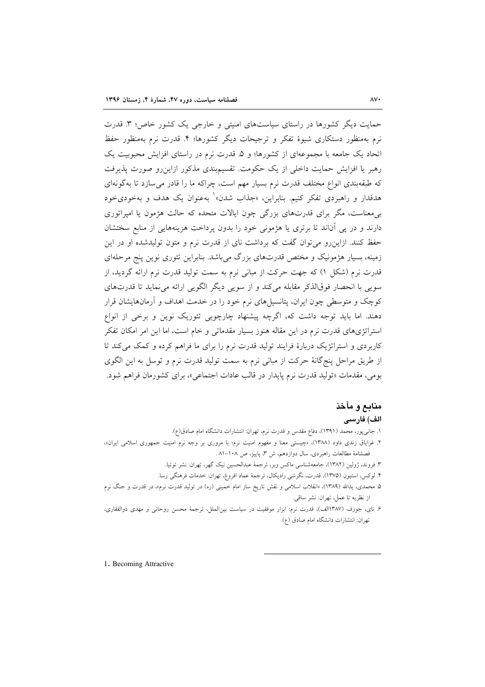حمایت دیگر کشورها در راستای سیاستهای امنیتی و خارجی یک کشور خاص؛ ۳. قدرت نرم پهمنظور دستکاری شیوۀ تفکر و ترجیحات دیگر کشورها؛ ۴. قدرت نرم پهمنظور حفظ اتحاد یک جامعه با مجموعهای از کشورها؛ و ۵. قدرت نرم در راستای افزایش محبوبیت یک رهبر یا افزایش حمایت داخلی از یک حکومت. تقسیمبندی مذکور ازاینرو صورت پذیرفت که طبقهبندی انواع مختلف قدرت نرم بسیار مهم است، چراکه ما را قادر می سازد تا بهگونهای هدفدار و راهبردی تفکر کنیم. بنابراین، «جذاب شدن» ٰ بهعنوان یک هدف و بهخودیخود بر معناست، مگر برای قدرتهای بزرگی چون ایالات متحده که حالت هژمون یا امیراتوری دارند و در پی آناند تا برتری یا هژمونی خود را بدون پرداخت هزینههایی از منابع سختشان حفظ کنند. ازاین رو می توان گفت که برداشت نای از قدرت نرم و متون تولیدشده او در این زمینه، بسیار هژمونیک و مختص قدرتهای بزرگ می باشد. بنابراین تئوری نوین پنج مرحلهای قدرت نرم (شکل ۱) که جهت حرکت از مبانی نرم به سمت تولید قدرت نرم ارائه گردید، از سویی با انحصار فوقالذکر مقابله میکند و از سویی دیگر الگویی ارائه می نماید تا قدرتهای کوچک و متوسطی چون ایران، پتانسیلهای نرم خود را در خدمت اهداف و آرمانهایشان قرار دهند. اما باید توجه داشت که، اگرچه پیشنهاد چارچوبی تئوریک نوین و برخی از انواع استراتژیهای قدرت نرم در این مقاله هنوز بسیار مقدماتی و خام است، اما این امر امکان تفکر کاربردی و استراتژیک دربارهٔ فرایند تولید قدرت نرم را برای ما فراهم کرده و کمک میکند تا از طریق مراحل پنجگانهٔ حرکت از مبانی نرم به سمت تولید قدرت نرم و توسل به این الگوی بومي، مقدمات «توليد قدرت نرم پايدار در قالب عادات اجتماعي»، براي كشورمان فراهم شود.

# منابع و مآخذ

# الف) فارسى

- ۱. جانبیپور، محمد (۱۳۹۱)، دفاع مقدس و قدرت نرم، تهران: انتشارات دانشگاه امام صادق(ع).
- ۲. غرایاق زندی داود (۱۳۸۸)، «چیستی معنا و مفهوم امنیت نرم؛ با مروری بر وجه نرم امنیت جمهوری اسلامی ایران»، فصلنامهٔ مطالعات راهبردی، سال دوازدهم، ش ۳، پاییز، ص ۱۰۸–۸۱.
	- ۳. فروند، ژولین (۱۳۸۲)، جامعهشناسی ماکس وبر، ترجمهٔ عبدالحسین نیک گهر، تهران: نشر توتیا.
	- ۴. لوكس، استيون (١٣٧۵)، قدرت، نگرشي راديكال، ترجمهٔ عماد افروغ، تهران: خدمات فرهنگي رسا.
- ۵. محمدی، یدالله (۱۳۸۹)، «انقلاب اسلامی و نقش تاریخ ساز امام خمینی (ره) در تولید قدرت نرم»، در قدرت و جنگ نرم از نظريه تا عمل، تهران: نشر ساقى.
- ۶. نای، جوزف (۱۳۸۷الف)، قدرت نرم: ابزار موفقیت در سیاست بین|لملل، ترجمهٔ محسن روحانی و مهدی ذوالفقاری، تهران: انتشارات دانشگاه امام صادق (ع).

1. Becoming Attractive